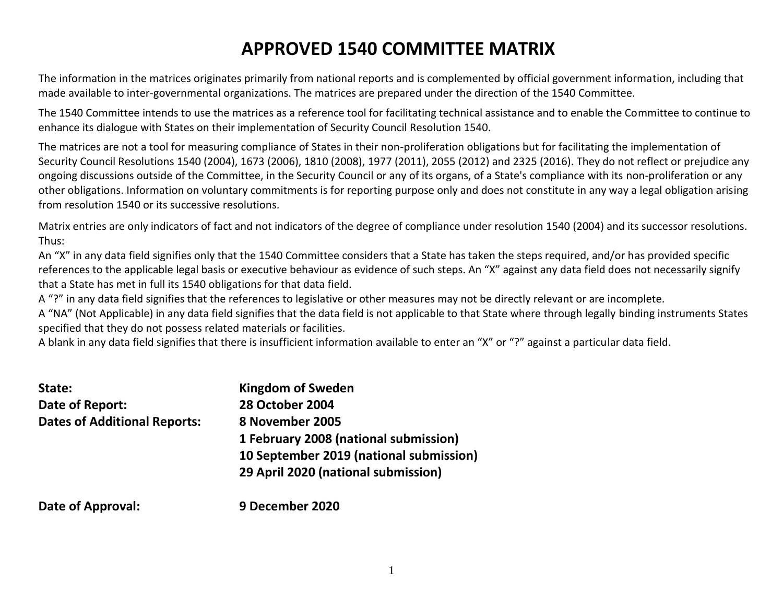# **APPROVED 1540 COMMITTEE MATRIX**

The information in the matrices originates primarily from national reports and is complemented by official government information, including that made available to inter-governmental organizations. The matrices are prepared under the direction of the 1540 Committee.

The 1540 Committee intends to use the matrices as a reference tool for facilitating technical assistance and to enable the Committee to continue to enhance its dialogue with States on their implementation of Security Council Resolution 1540.

The matrices are not a tool for measuring compliance of States in their non-proliferation obligations but for facilitating the implementation of Security Council Resolutions 1540 (2004), 1673 (2006), 1810 (2008), 1977 (2011), 2055 (2012) and 2325 (2016). They do not reflect or prejudice any ongoing discussions outside of the Committee, in the Security Council or any of its organs, of a State's compliance with its non-proliferation or any other obligations. Information on voluntary commitments is for reporting purpose only and does not constitute in any way a legal obligation arising from resolution 1540 or its successive resolutions.

Matrix entries are only indicators of fact and not indicators of the degree of compliance under resolution 1540 (2004) and its successor resolutions. Thus:

An "X" in any data field signifies only that the 1540 Committee considers that a State has taken the steps required, and/or has provided specific references to the applicable legal basis or executive behaviour as evidence of such steps. An "X" against any data field does not necessarily signify that a State has met in full its 1540 obligations for that data field.

A "?" in any data field signifies that the references to legislative or other measures may not be directly relevant or are incomplete.

A "NA" (Not Applicable) in any data field signifies that the data field is not applicable to that State where through legally binding instruments States specified that they do not possess related materials or facilities.

A blank in any data field signifies that there is insufficient information available to enter an "X" or "?" against a particular data field.

| State:                              | <b>Kingdom of Sweden</b>                |
|-------------------------------------|-----------------------------------------|
| Date of Report:                     | <b>28 October 2004</b>                  |
| <b>Dates of Additional Reports:</b> | 8 November 2005                         |
|                                     | 1 February 2008 (national submission)   |
|                                     | 10 September 2019 (national submission) |
|                                     | 29 April 2020 (national submission)     |
| — <i>—</i> — —                      |                                         |

**Date of Approval: 9 December 2020**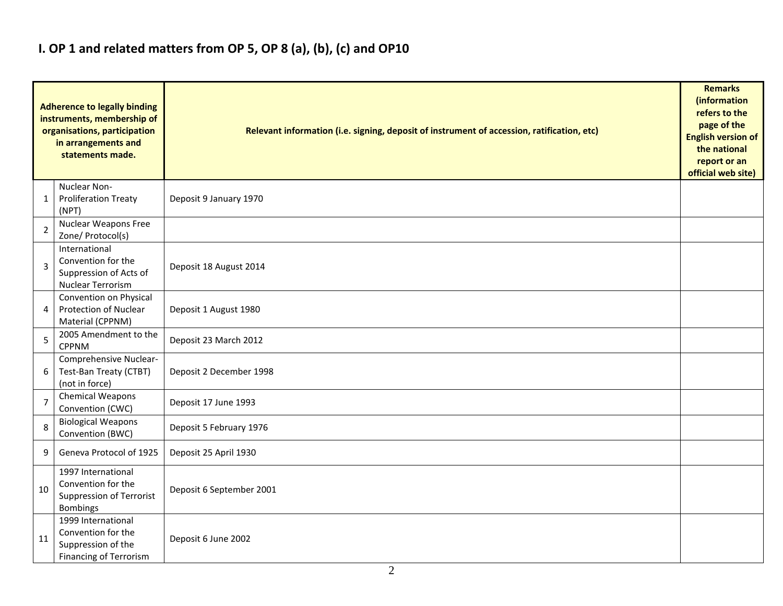## **I. OP 1 and related matters from OP 5, OP 8 (a), (b), (c) and OP10**

|                | <b>Adherence to legally binding</b><br>instruments, membership of<br>organisations, participation<br>in arrangements and<br>statements made. | Relevant information (i.e. signing, deposit of instrument of accession, ratification, etc) |  |  |  |  |  |  |  |  |  |
|----------------|----------------------------------------------------------------------------------------------------------------------------------------------|--------------------------------------------------------------------------------------------|--|--|--|--|--|--|--|--|--|
| 1              | Nuclear Non-<br><b>Proliferation Treaty</b><br>(NPT)                                                                                         | Deposit 9 January 1970                                                                     |  |  |  |  |  |  |  |  |  |
| $\overline{2}$ | Nuclear Weapons Free<br>Zone/ Protocol(s)                                                                                                    |                                                                                            |  |  |  |  |  |  |  |  |  |
| 3              | International<br>Convention for the<br>Suppression of Acts of<br><b>Nuclear Terrorism</b>                                                    | Deposit 18 August 2014                                                                     |  |  |  |  |  |  |  |  |  |
| 4              | Convention on Physical<br><b>Protection of Nuclear</b><br>Material (CPPNM)                                                                   | Deposit 1 August 1980                                                                      |  |  |  |  |  |  |  |  |  |
| 5              | 2005 Amendment to the<br><b>CPPNM</b>                                                                                                        | Deposit 23 March 2012                                                                      |  |  |  |  |  |  |  |  |  |
| 6              | Comprehensive Nuclear-<br>Test-Ban Treaty (CTBT)<br>(not in force)                                                                           | Deposit 2 December 1998                                                                    |  |  |  |  |  |  |  |  |  |
| $\overline{7}$ | <b>Chemical Weapons</b><br>Convention (CWC)                                                                                                  | Deposit 17 June 1993                                                                       |  |  |  |  |  |  |  |  |  |
| 8              | <b>Biological Weapons</b><br>Convention (BWC)                                                                                                | Deposit 5 February 1976                                                                    |  |  |  |  |  |  |  |  |  |
| 9              | Geneva Protocol of 1925                                                                                                                      | Deposit 25 April 1930                                                                      |  |  |  |  |  |  |  |  |  |
| 10             | 1997 International<br>Convention for the<br>Suppression of Terrorist<br><b>Bombings</b>                                                      | Deposit 6 September 2001                                                                   |  |  |  |  |  |  |  |  |  |
| 11             | 1999 International<br>Convention for the<br>Suppression of the<br><b>Financing of Terrorism</b>                                              | Deposit 6 June 2002                                                                        |  |  |  |  |  |  |  |  |  |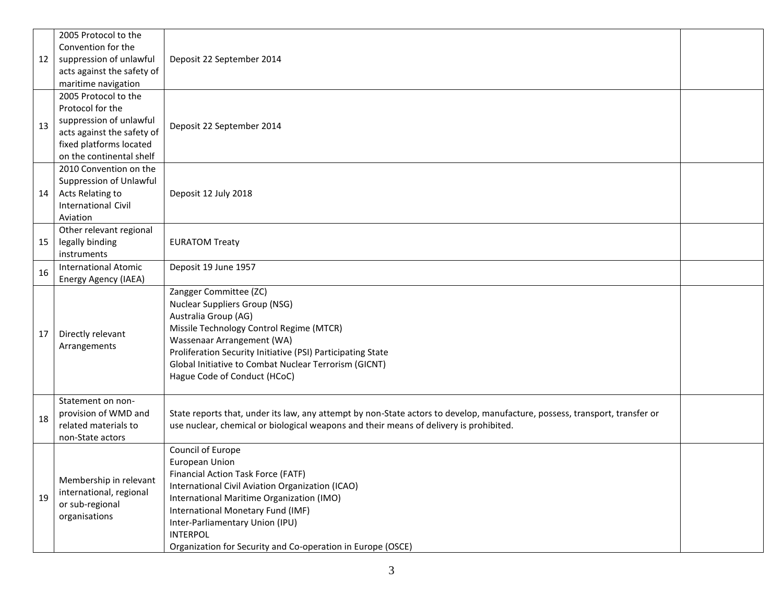|    | 2005 Protocol to the                     |                                                                                                                                                                                                                       |  |
|----|------------------------------------------|-----------------------------------------------------------------------------------------------------------------------------------------------------------------------------------------------------------------------|--|
|    | Convention for the                       |                                                                                                                                                                                                                       |  |
| 12 | suppression of unlawful                  | Deposit 22 September 2014                                                                                                                                                                                             |  |
|    | acts against the safety of               |                                                                                                                                                                                                                       |  |
|    | maritime navigation                      |                                                                                                                                                                                                                       |  |
|    | 2005 Protocol to the                     |                                                                                                                                                                                                                       |  |
|    | Protocol for the                         |                                                                                                                                                                                                                       |  |
| 13 | suppression of unlawful                  | Deposit 22 September 2014                                                                                                                                                                                             |  |
|    | acts against the safety of               |                                                                                                                                                                                                                       |  |
|    | fixed platforms located                  |                                                                                                                                                                                                                       |  |
|    | on the continental shelf                 |                                                                                                                                                                                                                       |  |
|    | 2010 Convention on the                   |                                                                                                                                                                                                                       |  |
|    | Suppression of Unlawful                  |                                                                                                                                                                                                                       |  |
| 14 | Acts Relating to                         | Deposit 12 July 2018                                                                                                                                                                                                  |  |
|    | <b>International Civil</b>               |                                                                                                                                                                                                                       |  |
|    | Aviation                                 |                                                                                                                                                                                                                       |  |
|    | Other relevant regional                  |                                                                                                                                                                                                                       |  |
| 15 | legally binding                          | <b>EURATOM Treaty</b>                                                                                                                                                                                                 |  |
|    | instruments                              |                                                                                                                                                                                                                       |  |
| 16 | <b>International Atomic</b>              | Deposit 19 June 1957                                                                                                                                                                                                  |  |
|    | Energy Agency (IAEA)                     |                                                                                                                                                                                                                       |  |
|    |                                          | Zangger Committee (ZC)                                                                                                                                                                                                |  |
|    |                                          | <b>Nuclear Suppliers Group (NSG)</b>                                                                                                                                                                                  |  |
|    |                                          | Australia Group (AG)                                                                                                                                                                                                  |  |
| 17 | Directly relevant                        | Missile Technology Control Regime (MTCR)                                                                                                                                                                              |  |
|    | Arrangements                             | Wassenaar Arrangement (WA)                                                                                                                                                                                            |  |
|    |                                          | Proliferation Security Initiative (PSI) Participating State                                                                                                                                                           |  |
|    |                                          | Global Initiative to Combat Nuclear Terrorism (GICNT)                                                                                                                                                                 |  |
|    |                                          | Hague Code of Conduct (HCoC)                                                                                                                                                                                          |  |
|    |                                          |                                                                                                                                                                                                                       |  |
|    | Statement on non-                        |                                                                                                                                                                                                                       |  |
| 18 | provision of WMD and                     | State reports that, under its law, any attempt by non-State actors to develop, manufacture, possess, transport, transfer or<br>use nuclear, chemical or biological weapons and their means of delivery is prohibited. |  |
|    | related materials to<br>non-State actors |                                                                                                                                                                                                                       |  |
|    |                                          | Council of Europe                                                                                                                                                                                                     |  |
|    |                                          | European Union                                                                                                                                                                                                        |  |
|    |                                          | Financial Action Task Force (FATF)                                                                                                                                                                                    |  |
|    | Membership in relevant                   | International Civil Aviation Organization (ICAO)                                                                                                                                                                      |  |
| 19 | international, regional                  | International Maritime Organization (IMO)                                                                                                                                                                             |  |
|    | or sub-regional                          | International Monetary Fund (IMF)                                                                                                                                                                                     |  |
|    | organisations                            | Inter-Parliamentary Union (IPU)                                                                                                                                                                                       |  |
|    |                                          | <b>INTERPOL</b>                                                                                                                                                                                                       |  |
|    |                                          | Organization for Security and Co-operation in Europe (OSCE)                                                                                                                                                           |  |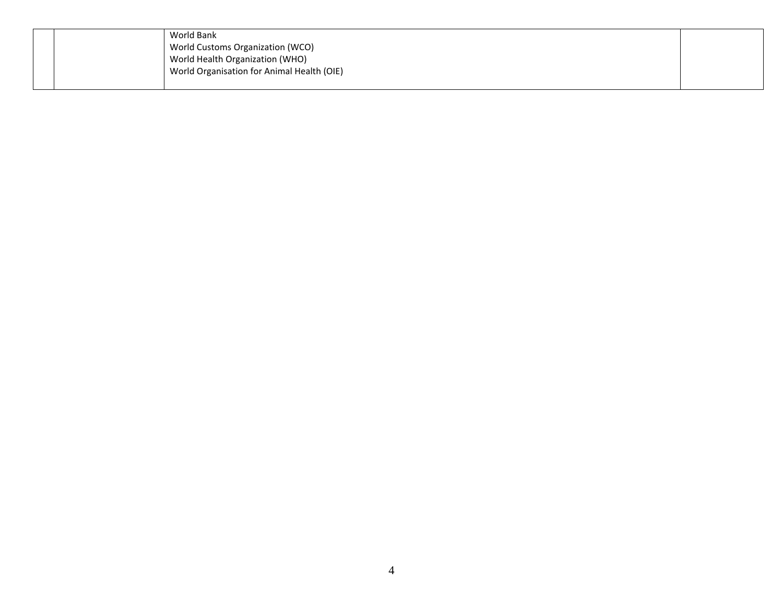|  | World Bank                                 |  |
|--|--------------------------------------------|--|
|  | World Customs Organization (WCO)           |  |
|  | World Health Organization (WHO)            |  |
|  | World Organisation for Animal Health (OIE) |  |
|  |                                            |  |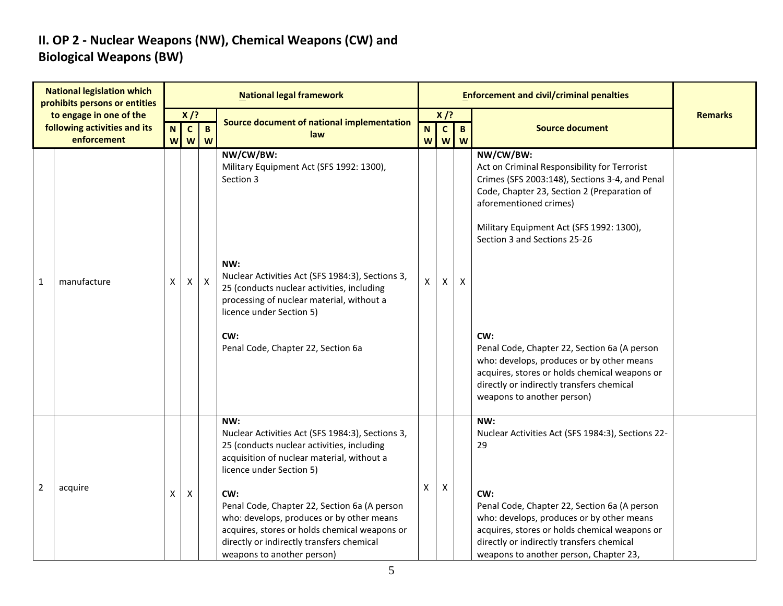### **II. OP 2 - Nuclear Weapons (NW), Chemical Weapons (CW) and Biological Weapons (BW)**

|                | <b>National legislation which</b><br>prohibits persons or entities     |                                                      |                                                     |                   | <b>National legal framework</b>                                                                                                                                                                                                                                                                                                                                                                                 |                   |                             |                   | <b>Enforcement and civil/criminal penalties</b>                                                                                                                                                                                                                                                                                                                                                                                                                                                  |                |
|----------------|------------------------------------------------------------------------|------------------------------------------------------|-----------------------------------------------------|-------------------|-----------------------------------------------------------------------------------------------------------------------------------------------------------------------------------------------------------------------------------------------------------------------------------------------------------------------------------------------------------------------------------------------------------------|-------------------|-----------------------------|-------------------|--------------------------------------------------------------------------------------------------------------------------------------------------------------------------------------------------------------------------------------------------------------------------------------------------------------------------------------------------------------------------------------------------------------------------------------------------------------------------------------------------|----------------|
|                | to engage in one of the<br>following activities and its<br>enforcement | $\overline{\mathsf{N}}$<br>$\boldsymbol{\mathsf{W}}$ | $X$ /?<br>$\mathbf{c}$<br>$\boldsymbol{\mathsf{W}}$ | $\mathbf{B}$<br>W | Source document of national implementation<br>law                                                                                                                                                                                                                                                                                                                                                               | N<br>$\mathsf{W}$ | $X$ /?<br>$\mathbf{C}$<br>W | $\mathbf{B}$<br>W | <b>Source document</b>                                                                                                                                                                                                                                                                                                                                                                                                                                                                           | <b>Remarks</b> |
| 1              | manufacture                                                            | X                                                    | X                                                   | $\mathsf{X}$      | NW/CW/BW:<br>Military Equipment Act (SFS 1992: 1300),<br>Section 3<br>NW:<br>Nuclear Activities Act (SFS 1984:3), Sections 3,<br>25 (conducts nuclear activities, including<br>processing of nuclear material, without a<br>licence under Section 5)<br>CW:<br>Penal Code, Chapter 22, Section 6a                                                                                                               | $\mathsf{x}$      | X.                          | $\mathsf{x}$      | NW/CW/BW:<br>Act on Criminal Responsibility for Terrorist<br>Crimes (SFS 2003:148), Sections 3-4, and Penal<br>Code, Chapter 23, Section 2 (Preparation of<br>aforementioned crimes)<br>Military Equipment Act (SFS 1992: 1300),<br>Section 3 and Sections 25-26<br>CW:<br>Penal Code, Chapter 22, Section 6a (A person<br>who: develops, produces or by other means<br>acquires, stores or holds chemical weapons or<br>directly or indirectly transfers chemical<br>weapons to another person) |                |
| $\overline{2}$ | acquire                                                                | X                                                    | X                                                   |                   | NW:<br>Nuclear Activities Act (SFS 1984:3), Sections 3,<br>25 (conducts nuclear activities, including<br>acquisition of nuclear material, without a<br>licence under Section 5)<br>CW:<br>Penal Code, Chapter 22, Section 6a (A person<br>who: develops, produces or by other means<br>acquires, stores or holds chemical weapons or<br>directly or indirectly transfers chemical<br>weapons to another person) | X                 | X                           |                   | NW:<br>Nuclear Activities Act (SFS 1984:3), Sections 22-<br>29<br>CW:<br>Penal Code, Chapter 22, Section 6a (A person<br>who: develops, produces or by other means<br>acquires, stores or holds chemical weapons or<br>directly or indirectly transfers chemical<br>weapons to another person, Chapter 23,                                                                                                                                                                                       |                |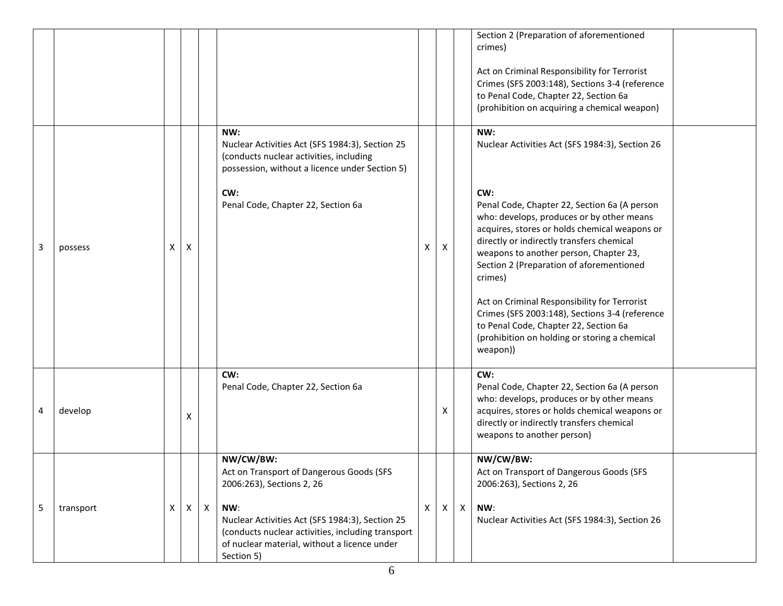|   |           |   |   |              |                                                                                                                                                                           |   |   |              | Section 2 (Preparation of aforementioned<br>crimes)<br>Act on Criminal Responsibility for Terrorist<br>Crimes (SFS 2003:148), Sections 3-4 (reference<br>to Penal Code, Chapter 22, Section 6a<br>(prohibition on acquiring a chemical weapon)                                                  |
|---|-----------|---|---|--------------|---------------------------------------------------------------------------------------------------------------------------------------------------------------------------|---|---|--------------|-------------------------------------------------------------------------------------------------------------------------------------------------------------------------------------------------------------------------------------------------------------------------------------------------|
|   |           |   |   |              | NW:<br>Nuclear Activities Act (SFS 1984:3), Section 25<br>(conducts nuclear activities, including<br>possession, without a licence under Section 5)                       |   |   |              | NW:<br>Nuclear Activities Act (SFS 1984:3), Section 26                                                                                                                                                                                                                                          |
| 3 | possess   | х | X |              | CW:<br>Penal Code, Chapter 22, Section 6a                                                                                                                                 | X | х |              | CW:<br>Penal Code, Chapter 22, Section 6a (A person<br>who: develops, produces or by other means<br>acquires, stores or holds chemical weapons or<br>directly or indirectly transfers chemical<br>weapons to another person, Chapter 23,<br>Section 2 (Preparation of aforementioned<br>crimes) |
|   |           |   |   |              |                                                                                                                                                                           |   |   |              | Act on Criminal Responsibility for Terrorist<br>Crimes (SFS 2003:148), Sections 3-4 (reference<br>to Penal Code, Chapter 22, Section 6a<br>(prohibition on holding or storing a chemical<br>weapon))                                                                                            |
| 4 | develop   |   | X |              | CW:<br>Penal Code, Chapter 22, Section 6a                                                                                                                                 |   | х |              | CW:<br>Penal Code, Chapter 22, Section 6a (A person<br>who: develops, produces or by other means<br>acquires, stores or holds chemical weapons or<br>directly or indirectly transfers chemical<br>weapons to another person)                                                                    |
|   |           |   |   |              | NW/CW/BW:<br>Act on Transport of Dangerous Goods (SFS<br>2006:263), Sections 2, 26                                                                                        |   |   |              | NW/CW/BW:<br>Act on Transport of Dangerous Goods (SFS<br>2006:263), Sections 2, 26                                                                                                                                                                                                              |
| 5 | transport | Х | X | $\mathsf{X}$ | NW:<br>Nuclear Activities Act (SFS 1984:3), Section 25<br>(conducts nuclear activities, including transport<br>of nuclear material, without a licence under<br>Section 5) | X | X | $\mathsf{X}$ | NW:<br>Nuclear Activities Act (SFS 1984:3), Section 26                                                                                                                                                                                                                                          |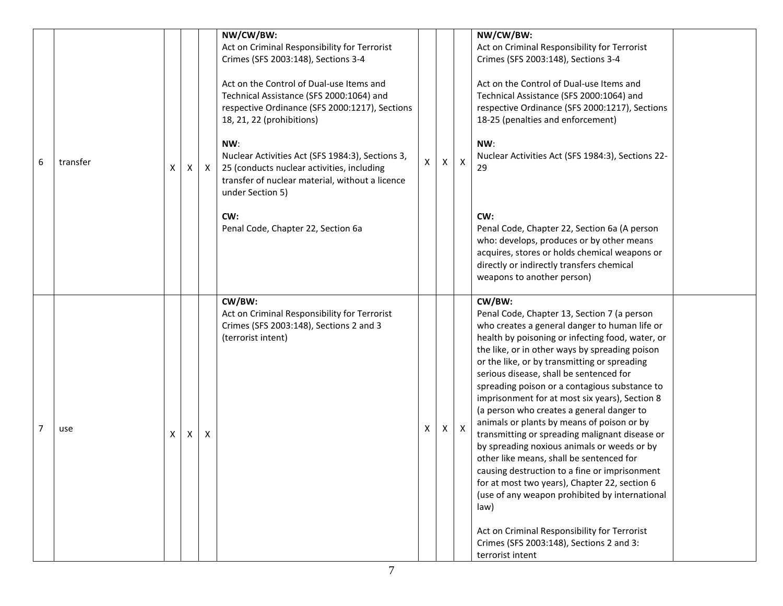| 6 | transfer | X | X | X | NW/CW/BW:<br>Act on Criminal Responsibility for Terrorist<br>Crimes (SFS 2003:148), Sections 3-4<br>Act on the Control of Dual-use Items and<br>Technical Assistance (SFS 2000:1064) and<br>respective Ordinance (SFS 2000:1217), Sections<br>18, 21, 22 (prohibitions)<br>NW:<br>Nuclear Activities Act (SFS 1984:3), Sections 3,<br>25 (conducts nuclear activities, including<br>transfer of nuclear material, without a licence<br>under Section 5)<br>CW:<br>Penal Code, Chapter 22, Section 6a | X | X | X            | NW/CW/BW:<br>Act on Criminal Responsibility for Terrorist<br>Crimes (SFS 2003:148), Sections 3-4<br>Act on the Control of Dual-use Items and<br>Technical Assistance (SFS 2000:1064) and<br>respective Ordinance (SFS 2000:1217), Sections<br>18-25 (penalties and enforcement)<br>NW:<br>Nuclear Activities Act (SFS 1984:3), Sections 22-<br>29<br>CW:<br>Penal Code, Chapter 22, Section 6a (A person<br>who: develops, produces or by other means<br>acquires, stores or holds chemical weapons or<br>directly or indirectly transfers chemical<br>weapons to another person)                                                                                                                                                                                                                                                                                                                                              |  |
|---|----------|---|---|---|------------------------------------------------------------------------------------------------------------------------------------------------------------------------------------------------------------------------------------------------------------------------------------------------------------------------------------------------------------------------------------------------------------------------------------------------------------------------------------------------------|---|---|--------------|--------------------------------------------------------------------------------------------------------------------------------------------------------------------------------------------------------------------------------------------------------------------------------------------------------------------------------------------------------------------------------------------------------------------------------------------------------------------------------------------------------------------------------------------------------------------------------------------------------------------------------------------------------------------------------------------------------------------------------------------------------------------------------------------------------------------------------------------------------------------------------------------------------------------------------|--|
| 7 | use      | X | Χ | X | CW/BW:<br>Act on Criminal Responsibility for Terrorist<br>Crimes (SFS 2003:148), Sections 2 and 3<br>(terrorist intent)                                                                                                                                                                                                                                                                                                                                                                              | Χ | X | $\mathsf{X}$ | CW/BW:<br>Penal Code, Chapter 13, Section 7 (a person<br>who creates a general danger to human life or<br>health by poisoning or infecting food, water, or<br>the like, or in other ways by spreading poison<br>or the like, or by transmitting or spreading<br>serious disease, shall be sentenced for<br>spreading poison or a contagious substance to<br>imprisonment for at most six years), Section 8<br>(a person who creates a general danger to<br>animals or plants by means of poison or by<br>transmitting or spreading malignant disease or<br>by spreading noxious animals or weeds or by<br>other like means, shall be sentenced for<br>causing destruction to a fine or imprisonment<br>for at most two years), Chapter 22, section 6<br>(use of any weapon prohibited by international<br>law)<br>Act on Criminal Responsibility for Terrorist<br>Crimes (SFS 2003:148), Sections 2 and 3:<br>terrorist intent |  |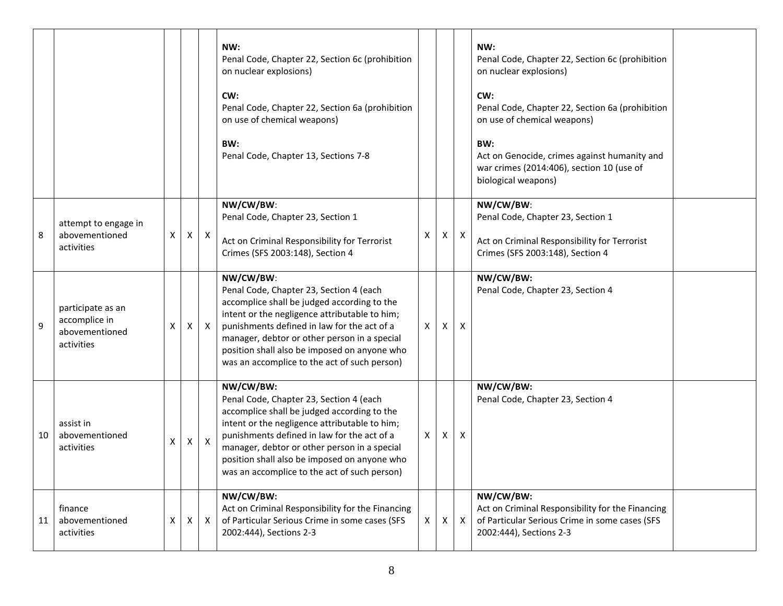|    |                                                                    |   |              |              | NW:<br>Penal Code, Chapter 22, Section 6c (prohibition<br>on nuclear explosions)<br>CW:<br>Penal Code, Chapter 22, Section 6a (prohibition<br>on use of chemical weapons)<br>BW:<br>Penal Code, Chapter 13, Sections 7-8                                                                                                                            |    |              |              | NW:<br>Penal Code, Chapter 22, Section 6c (prohibition<br>on nuclear explosions)<br>CW:<br>Penal Code, Chapter 22, Section 6a (prohibition<br>on use of chemical weapons)<br>BW:<br>Act on Genocide, crimes against humanity and<br>war crimes (2014:406), section 10 (use of<br>biological weapons) |
|----|--------------------------------------------------------------------|---|--------------|--------------|-----------------------------------------------------------------------------------------------------------------------------------------------------------------------------------------------------------------------------------------------------------------------------------------------------------------------------------------------------|----|--------------|--------------|------------------------------------------------------------------------------------------------------------------------------------------------------------------------------------------------------------------------------------------------------------------------------------------------------|
| 8  | attempt to engage in<br>abovementioned<br>activities               | Χ | $\mathsf{X}$ | $\mathsf{X}$ | NW/CW/BW:<br>Penal Code, Chapter 23, Section 1<br>Act on Criminal Responsibility for Terrorist<br>Crimes (SFS 2003:148), Section 4                                                                                                                                                                                                                  | x  | $\mathsf{X}$ | $\mathsf{X}$ | NW/CW/BW:<br>Penal Code, Chapter 23, Section 1<br>Act on Criminal Responsibility for Terrorist<br>Crimes (SFS 2003:148), Section 4                                                                                                                                                                   |
| 9  | participate as an<br>accomplice in<br>abovementioned<br>activities | X | X            | $\mathsf{X}$ | NW/CW/BW:<br>Penal Code, Chapter 23, Section 4 (each<br>accomplice shall be judged according to the<br>intent or the negligence attributable to him;<br>punishments defined in law for the act of a<br>manager, debtor or other person in a special<br>position shall also be imposed on anyone who<br>was an accomplice to the act of such person) | X  | X            | X            | NW/CW/BW:<br>Penal Code, Chapter 23, Section 4                                                                                                                                                                                                                                                       |
| 10 | assist in<br>abovementioned<br>activities                          | Χ | X            | $\mathsf{X}$ | NW/CW/BW:<br>Penal Code, Chapter 23, Section 4 (each<br>accomplice shall be judged according to the<br>intent or the negligence attributable to him;<br>punishments defined in law for the act of a<br>manager, debtor or other person in a special<br>position shall also be imposed on anyone who<br>was an accomplice to the act of such person) | X  | Χ            | х            | NW/CW/BW:<br>Penal Code, Chapter 23, Section 4                                                                                                                                                                                                                                                       |
| 11 | finance<br>abovementioned<br>activities                            | X | $\mathsf{X}$ | $\mathsf{X}$ | NW/CW/BW:<br>Act on Criminal Responsibility for the Financing<br>of Particular Serious Crime in some cases (SFS<br>2002:444), Sections 2-3                                                                                                                                                                                                          | X. | Χ            | $\mathsf{X}$ | NW/CW/BW:<br>Act on Criminal Responsibility for the Financing<br>of Particular Serious Crime in some cases (SFS<br>2002:444), Sections 2-3                                                                                                                                                           |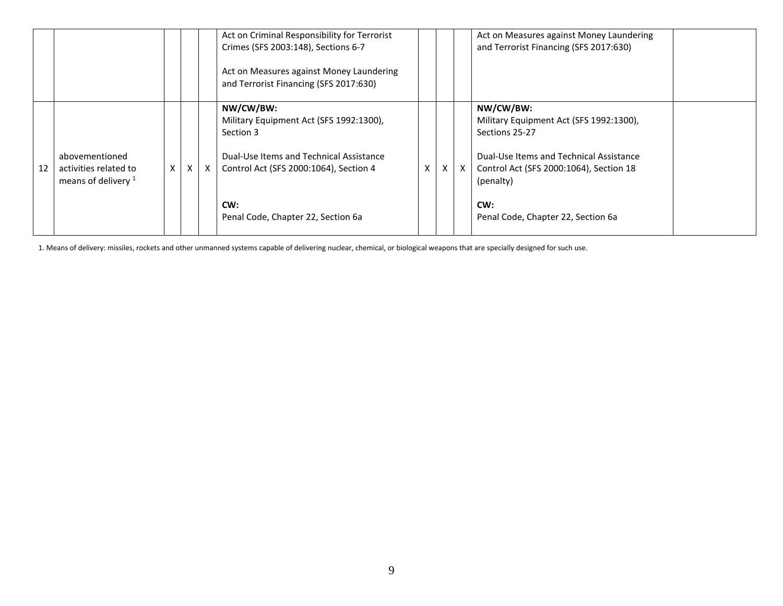|    |                                                                  |   |          |              | Act on Criminal Responsibility for Terrorist<br>Crimes (SFS 2003:148), Sections 6-7<br>Act on Measures against Money Laundering<br>and Terrorist Financing (SFS 2017:630) |   |   |              | Act on Measures against Money Laundering<br>and Terrorist Financing (SFS 2017:630)                                                                                        |  |
|----|------------------------------------------------------------------|---|----------|--------------|---------------------------------------------------------------------------------------------------------------------------------------------------------------------------|---|---|--------------|---------------------------------------------------------------------------------------------------------------------------------------------------------------------------|--|
| 12 | abovementioned<br>activities related to<br>means of delivery $1$ | X | $\times$ | $\mathsf{X}$ | NW/CW/BW:<br>Military Equipment Act (SFS 1992:1300),<br>Section 3<br>Dual-Use Items and Technical Assistance<br>Control Act (SFS 2000:1064), Section 4                    | X | X | $\mathsf{X}$ | NW/CW/BW:<br>Military Equipment Act (SFS 1992:1300),<br>Sections 25-27<br>Dual-Use Items and Technical Assistance<br>Control Act (SFS 2000:1064), Section 18<br>(penalty) |  |
|    |                                                                  |   |          |              | CW:<br>Penal Code, Chapter 22, Section 6a                                                                                                                                 |   |   |              | CW:<br>Penal Code, Chapter 22, Section 6a                                                                                                                                 |  |

1. Means of delivery: missiles, rockets and other unmanned systems capable of delivering nuclear, chemical, or biological weapons that are specially designed for such use.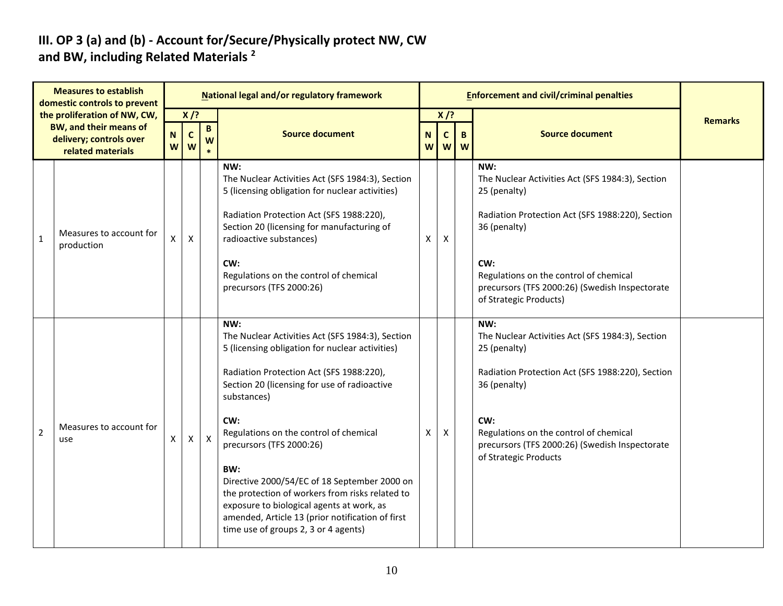#### **III. OP 3 (a) and (b) - Account for/Secure/Physically protect NW, CW and BW, including Related Materials <sup>2</sup>**

|                | <b>Measures to establish</b><br>domestic controls to prevent                                                  |        |                            |                      | National legal and/or regulatory framework                                                                                                                                                                                                                                                                                                                                                                                                                                                                                                            |        |                             |        | <b>Enforcement and civil/criminal penalties</b>                                                                                                                                                                                                                          |                |
|----------------|---------------------------------------------------------------------------------------------------------------|--------|----------------------------|----------------------|-------------------------------------------------------------------------------------------------------------------------------------------------------------------------------------------------------------------------------------------------------------------------------------------------------------------------------------------------------------------------------------------------------------------------------------------------------------------------------------------------------------------------------------------------------|--------|-----------------------------|--------|--------------------------------------------------------------------------------------------------------------------------------------------------------------------------------------------------------------------------------------------------------------------------|----------------|
|                | the proliferation of NW, CW,<br><b>BW, and their means of</b><br>delivery; controls over<br>related materials | N<br>W | $X$ /?<br>$\mathbf c$<br>W | $\, {\bf B} \,$<br>W | <b>Source document</b>                                                                                                                                                                                                                                                                                                                                                                                                                                                                                                                                | N<br>W | $X$ /?<br>$\mathbf{C}$<br>W | B<br>W | <b>Source document</b>                                                                                                                                                                                                                                                   | <b>Remarks</b> |
| $\mathbf{1}$   | Measures to account for<br>production                                                                         | X      | $\pmb{\mathsf{X}}$         |                      | NW:<br>The Nuclear Activities Act (SFS 1984:3), Section<br>5 (licensing obligation for nuclear activities)<br>Radiation Protection Act (SFS 1988:220),<br>Section 20 (licensing for manufacturing of<br>radioactive substances)<br>CW:<br>Regulations on the control of chemical<br>precursors (TFS 2000:26)                                                                                                                                                                                                                                          | Х      | X                           |        | NW:<br>The Nuclear Activities Act (SFS 1984:3), Section<br>25 (penalty)<br>Radiation Protection Act (SFS 1988:220), Section<br>36 (penalty)<br>CW:<br>Regulations on the control of chemical<br>precursors (TFS 2000:26) (Swedish Inspectorate<br>of Strategic Products) |                |
| $\overline{2}$ | Measures to account for<br>use                                                                                | X      | $\mathsf{X}$               | $\mathsf{X}$         | NW:<br>The Nuclear Activities Act (SFS 1984:3), Section<br>5 (licensing obligation for nuclear activities)<br>Radiation Protection Act (SFS 1988:220),<br>Section 20 (licensing for use of radioactive<br>substances)<br>CW:<br>Regulations on the control of chemical<br>precursors (TFS 2000:26)<br>BW:<br>Directive 2000/54/EC of 18 September 2000 on<br>the protection of workers from risks related to<br>exposure to biological agents at work, as<br>amended, Article 13 (prior notification of first<br>time use of groups 2, 3 or 4 agents) | X      | Χ                           |        | NW:<br>The Nuclear Activities Act (SFS 1984:3), Section<br>25 (penalty)<br>Radiation Protection Act (SFS 1988:220), Section<br>36 (penalty)<br>CW:<br>Regulations on the control of chemical<br>precursors (TFS 2000:26) (Swedish Inspectorate<br>of Strategic Products  |                |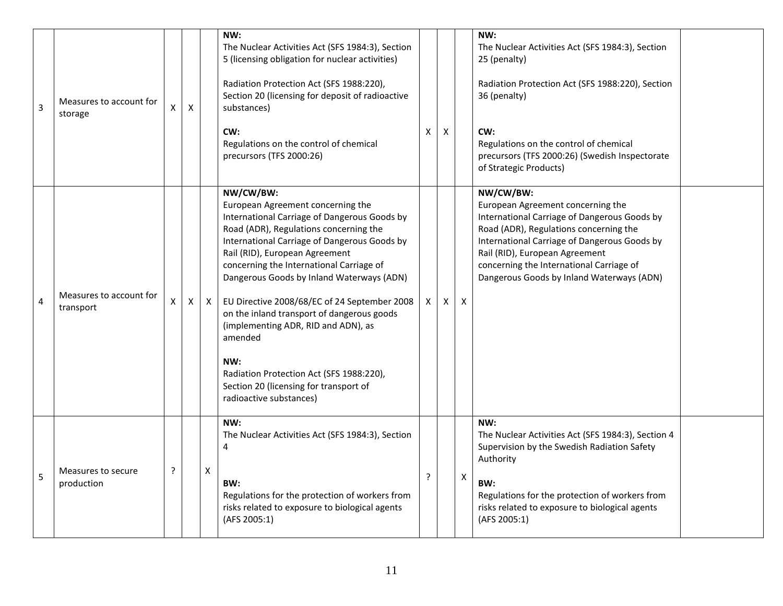| $\overline{3}$ | Measures to account for<br>storage   | $\mathsf{x}$       | X |              | NW:<br>The Nuclear Activities Act (SFS 1984:3), Section<br>5 (licensing obligation for nuclear activities)<br>Radiation Protection Act (SFS 1988:220),<br>Section 20 (licensing for deposit of radioactive<br>substances)<br>CW:<br>Regulations on the control of chemical<br>precursors (TFS 2000:26)                                                                                                                                                                                                                                                                                      | X | X |   | NW:<br>The Nuclear Activities Act (SFS 1984:3), Section<br>25 (penalty)<br>Radiation Protection Act (SFS 1988:220), Section<br>36 (penalty)<br>CW:<br>Regulations on the control of chemical<br>precursors (TFS 2000:26) (Swedish Inspectorate<br>of Strategic Products)                                            |  |
|----------------|--------------------------------------|--------------------|---|--------------|---------------------------------------------------------------------------------------------------------------------------------------------------------------------------------------------------------------------------------------------------------------------------------------------------------------------------------------------------------------------------------------------------------------------------------------------------------------------------------------------------------------------------------------------------------------------------------------------|---|---|---|---------------------------------------------------------------------------------------------------------------------------------------------------------------------------------------------------------------------------------------------------------------------------------------------------------------------|--|
| $\overline{4}$ | Measures to account for<br>transport | $\pmb{\mathsf{X}}$ | X | $\mathsf{X}$ | NW/CW/BW:<br>European Agreement concerning the<br>International Carriage of Dangerous Goods by<br>Road (ADR), Regulations concerning the<br>International Carriage of Dangerous Goods by<br>Rail (RID), European Agreement<br>concerning the International Carriage of<br>Dangerous Goods by Inland Waterways (ADN)<br>EU Directive 2008/68/EC of 24 September 2008<br>on the inland transport of dangerous goods<br>(implementing ADR, RID and ADN), as<br>amended<br>NW:<br>Radiation Protection Act (SFS 1988:220),<br>Section 20 (licensing for transport of<br>radioactive substances) | Χ | X | X | NW/CW/BW:<br>European Agreement concerning the<br>International Carriage of Dangerous Goods by<br>Road (ADR), Regulations concerning the<br>International Carriage of Dangerous Goods by<br>Rail (RID), European Agreement<br>concerning the International Carriage of<br>Dangerous Goods by Inland Waterways (ADN) |  |
| 5              | Measures to secure<br>production     | $\tilde{.}$        |   | X            | NW:<br>The Nuclear Activities Act (SFS 1984:3), Section<br>$\overline{4}$<br>BW:<br>Regulations for the protection of workers from<br>risks related to exposure to biological agents<br>(AFS 2005:1)                                                                                                                                                                                                                                                                                                                                                                                        | ? |   | X | NW:<br>The Nuclear Activities Act (SFS 1984:3), Section 4<br>Supervision by the Swedish Radiation Safety<br>Authority<br>BW:<br>Regulations for the protection of workers from<br>risks related to exposure to biological agents<br>(AFS 2005:1)                                                                    |  |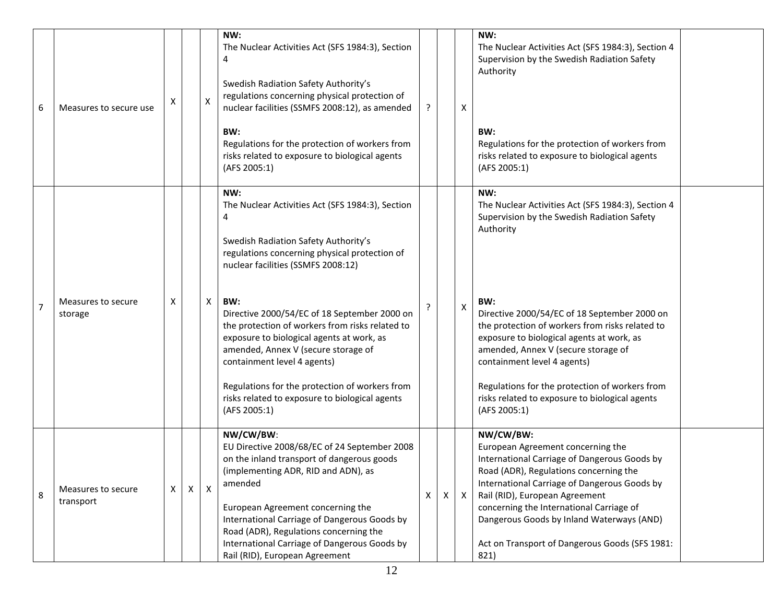| 6              | Measures to secure use          | Χ            |   | X | NW:<br>The Nuclear Activities Act (SFS 1984:3), Section<br>4<br>Swedish Radiation Safety Authority's<br>regulations concerning physical protection of<br>nuclear facilities (SSMFS 2008:12), as amended<br>BW:<br>Regulations for the protection of workers from<br>risks related to exposure to biological agents<br>(AFS 2005:1)                                                                                                                                                                                                           |   |   | Χ            | NW:<br>The Nuclear Activities Act (SFS 1984:3), Section 4<br>Supervision by the Swedish Radiation Safety<br>Authority<br>BW:<br>Regulations for the protection of workers from<br>risks related to exposure to biological agents<br>(AFS 2005:1)                                                                                                                                                                                                                       |  |
|----------------|---------------------------------|--------------|---|---|----------------------------------------------------------------------------------------------------------------------------------------------------------------------------------------------------------------------------------------------------------------------------------------------------------------------------------------------------------------------------------------------------------------------------------------------------------------------------------------------------------------------------------------------|---|---|--------------|------------------------------------------------------------------------------------------------------------------------------------------------------------------------------------------------------------------------------------------------------------------------------------------------------------------------------------------------------------------------------------------------------------------------------------------------------------------------|--|
| $\overline{7}$ | Measures to secure<br>storage   | X            |   | Χ | NW:<br>The Nuclear Activities Act (SFS 1984:3), Section<br>4<br>Swedish Radiation Safety Authority's<br>regulations concerning physical protection of<br>nuclear facilities (SSMFS 2008:12)<br>BW:<br>Directive 2000/54/EC of 18 September 2000 on<br>the protection of workers from risks related to<br>exposure to biological agents at work, as<br>amended, Annex V (secure storage of<br>containment level 4 agents)<br>Regulations for the protection of workers from<br>risks related to exposure to biological agents<br>(AFS 2005:1) |   |   | Χ            | NW:<br>The Nuclear Activities Act (SFS 1984:3), Section 4<br>Supervision by the Swedish Radiation Safety<br>Authority<br>BW:<br>Directive 2000/54/EC of 18 September 2000 on<br>the protection of workers from risks related to<br>exposure to biological agents at work, as<br>amended, Annex V (secure storage of<br>containment level 4 agents)<br>Regulations for the protection of workers from<br>risks related to exposure to biological agents<br>(AFS 2005:1) |  |
| 8              | Measures to secure<br>transport | $\mathsf{X}$ | х | X | NW/CW/BW:<br>EU Directive 2008/68/EC of 24 September 2008<br>on the inland transport of dangerous goods<br>(implementing ADR, RID and ADN), as<br>amended<br>European Agreement concerning the<br>International Carriage of Dangerous Goods by<br>Road (ADR), Regulations concerning the<br>International Carriage of Dangerous Goods by<br>Rail (RID), European Agreement                                                                                                                                                                   | Χ | Χ | $\mathsf{X}$ | NW/CW/BW:<br>European Agreement concerning the<br>International Carriage of Dangerous Goods by<br>Road (ADR), Regulations concerning the<br>International Carriage of Dangerous Goods by<br>Rail (RID), European Agreement<br>concerning the International Carriage of<br>Dangerous Goods by Inland Waterways (AND)<br>Act on Transport of Dangerous Goods (SFS 1981:<br>821)                                                                                          |  |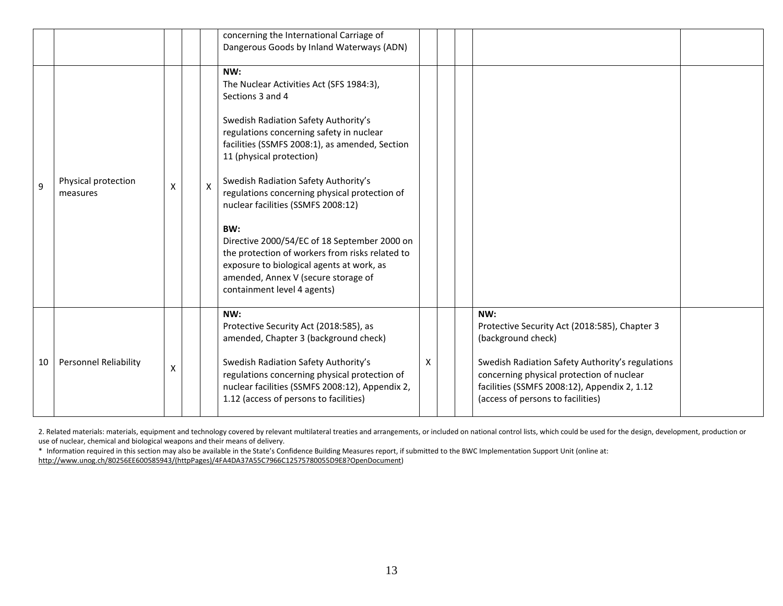|    |                                 |   |              | concerning the International Carriage of<br>Dangerous Goods by Inland Waterways (ADN)                                                                                                                                                                                                                                                                                                                                                                                                                                                                                                             |   |                                                                                                                                                                                                                                                                  |
|----|---------------------------------|---|--------------|---------------------------------------------------------------------------------------------------------------------------------------------------------------------------------------------------------------------------------------------------------------------------------------------------------------------------------------------------------------------------------------------------------------------------------------------------------------------------------------------------------------------------------------------------------------------------------------------------|---|------------------------------------------------------------------------------------------------------------------------------------------------------------------------------------------------------------------------------------------------------------------|
| 9  | Physical protection<br>measures | X | $\mathsf{X}$ | NW:<br>The Nuclear Activities Act (SFS 1984:3),<br>Sections 3 and 4<br>Swedish Radiation Safety Authority's<br>regulations concerning safety in nuclear<br>facilities (SSMFS 2008:1), as amended, Section<br>11 (physical protection)<br>Swedish Radiation Safety Authority's<br>regulations concerning physical protection of<br>nuclear facilities (SSMFS 2008:12)<br>BW:<br>Directive 2000/54/EC of 18 September 2000 on<br>the protection of workers from risks related to<br>exposure to biological agents at work, as<br>amended, Annex V (secure storage of<br>containment level 4 agents) |   |                                                                                                                                                                                                                                                                  |
| 10 | <b>Personnel Reliability</b>    | X |              | NW:<br>Protective Security Act (2018:585), as<br>amended, Chapter 3 (background check)<br>Swedish Radiation Safety Authority's<br>regulations concerning physical protection of<br>nuclear facilities (SSMFS 2008:12), Appendix 2,<br>1.12 (access of persons to facilities)                                                                                                                                                                                                                                                                                                                      | X | NW:<br>Protective Security Act (2018:585), Chapter 3<br>(background check)<br>Swedish Radiation Safety Authority's regulations<br>concerning physical protection of nuclear<br>facilities (SSMFS 2008:12), Appendix 2, 1.12<br>(access of persons to facilities) |

2. Related materials: materials, equipment and technology covered by relevant multilateral treaties and arrangements, or included on national control lists, which could be used for the design, development, production or use of nuclear, chemical and biological weapons and their means of delivery.

\* Information required in this section may also be available in the State's Confidence Building Measures report, if submitted to the BWC Implementation Support Unit (online at: [http://www.unog.ch/80256EE600585943/\(httpPages\)/4FA4DA37A55C7966C12575780055D9E8?OpenDocument\)](http://www.unog.ch/80256EE600585943/(httpPages)/4FA4DA37A55C7966C12575780055D9E8?OpenDocument)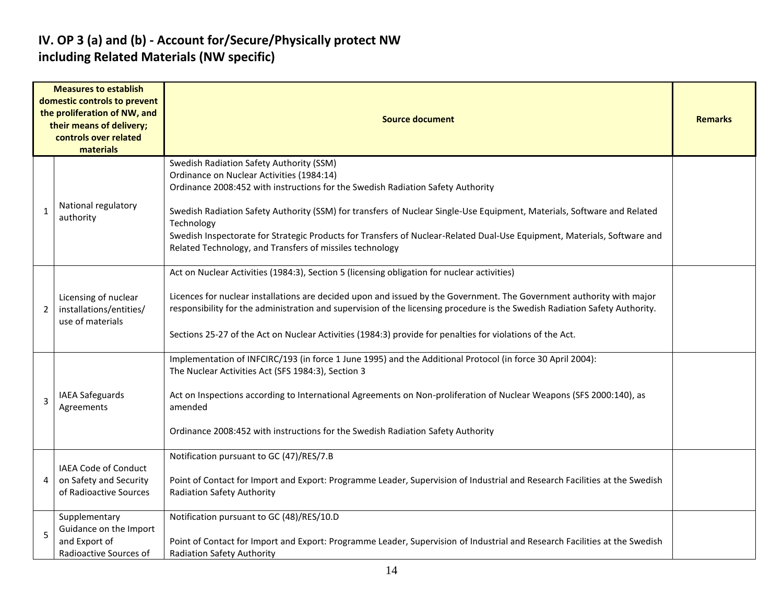#### **IV. OP 3 (a) and (b) - Account for/Secure/Physically protect NW including Related Materials (NW specific)**

| <b>Measures to establish</b><br>domestic controls to prevent<br>the proliferation of NW, and<br>their means of delivery;<br>controls over related<br>materials |                                                                                    | <b>Source document</b>                                                                                                                                                                                                                                                                                                                                                                                                                                                                                    |  |  |  |  |  |  |
|----------------------------------------------------------------------------------------------------------------------------------------------------------------|------------------------------------------------------------------------------------|-----------------------------------------------------------------------------------------------------------------------------------------------------------------------------------------------------------------------------------------------------------------------------------------------------------------------------------------------------------------------------------------------------------------------------------------------------------------------------------------------------------|--|--|--|--|--|--|
| 1                                                                                                                                                              | National regulatory<br>authority                                                   | Swedish Radiation Safety Authority (SSM)<br>Ordinance on Nuclear Activities (1984:14)<br>Ordinance 2008:452 with instructions for the Swedish Radiation Safety Authority<br>Swedish Radiation Safety Authority (SSM) for transfers of Nuclear Single-Use Equipment, Materials, Software and Related<br>Technology<br>Swedish Inspectorate for Strategic Products for Transfers of Nuclear-Related Dual-Use Equipment, Materials, Software and<br>Related Technology, and Transfers of missiles technology |  |  |  |  |  |  |
| 2                                                                                                                                                              | Licensing of nuclear<br>installations/entities/<br>use of materials                | Act on Nuclear Activities (1984:3), Section 5 (licensing obligation for nuclear activities)<br>Licences for nuclear installations are decided upon and issued by the Government. The Government authority with major<br>responsibility for the administration and supervision of the licensing procedure is the Swedish Radiation Safety Authority.<br>Sections 25-27 of the Act on Nuclear Activities (1984:3) provide for penalties for violations of the Act.                                          |  |  |  |  |  |  |
| 3                                                                                                                                                              | <b>IAEA Safeguards</b><br>Agreements                                               | Implementation of INFCIRC/193 (in force 1 June 1995) and the Additional Protocol (in force 30 April 2004):<br>The Nuclear Activities Act (SFS 1984:3), Section 3<br>Act on Inspections according to International Agreements on Non-proliferation of Nuclear Weapons (SFS 2000:140), as<br>amended<br>Ordinance 2008:452 with instructions for the Swedish Radiation Safety Authority                                                                                                                     |  |  |  |  |  |  |
| 4                                                                                                                                                              | IAEA Code of Conduct<br>on Safety and Security<br>of Radioactive Sources           | Notification pursuant to GC (47)/RES/7.B<br>Point of Contact for Import and Export: Programme Leader, Supervision of Industrial and Research Facilities at the Swedish<br><b>Radiation Safety Authority</b>                                                                                                                                                                                                                                                                                               |  |  |  |  |  |  |
| 5                                                                                                                                                              | Supplementary<br>Guidance on the Import<br>and Export of<br>Radioactive Sources of | Notification pursuant to GC (48)/RES/10.D<br>Point of Contact for Import and Export: Programme Leader, Supervision of Industrial and Research Facilities at the Swedish<br><b>Radiation Safety Authority</b>                                                                                                                                                                                                                                                                                              |  |  |  |  |  |  |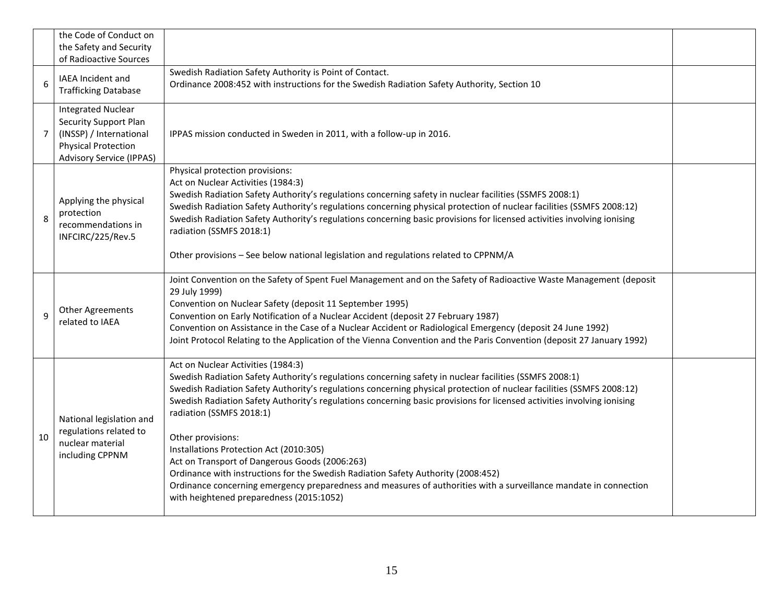|                | the Code of Conduct on<br>the Safety and Security<br>of Radioactive Sources                                                                           |                                                                                                                                                                                                                                                                                                                                                                                                                                                                                                                                                                                                                                                                                                                                                                                                       |  |
|----------------|-------------------------------------------------------------------------------------------------------------------------------------------------------|-------------------------------------------------------------------------------------------------------------------------------------------------------------------------------------------------------------------------------------------------------------------------------------------------------------------------------------------------------------------------------------------------------------------------------------------------------------------------------------------------------------------------------------------------------------------------------------------------------------------------------------------------------------------------------------------------------------------------------------------------------------------------------------------------------|--|
| 6              | <b>IAEA Incident and</b><br><b>Trafficking Database</b>                                                                                               | Swedish Radiation Safety Authority is Point of Contact.<br>Ordinance 2008:452 with instructions for the Swedish Radiation Safety Authority, Section 10                                                                                                                                                                                                                                                                                                                                                                                                                                                                                                                                                                                                                                                |  |
| $\overline{7}$ | <b>Integrated Nuclear</b><br><b>Security Support Plan</b><br>(INSSP) / International<br><b>Physical Protection</b><br><b>Advisory Service (IPPAS)</b> | IPPAS mission conducted in Sweden in 2011, with a follow-up in 2016.                                                                                                                                                                                                                                                                                                                                                                                                                                                                                                                                                                                                                                                                                                                                  |  |
| 8              | Applying the physical<br>protection<br>recommendations in<br>INFCIRC/225/Rev.5                                                                        | Physical protection provisions:<br>Act on Nuclear Activities (1984:3)<br>Swedish Radiation Safety Authority's regulations concerning safety in nuclear facilities (SSMFS 2008:1)<br>Swedish Radiation Safety Authority's regulations concerning physical protection of nuclear facilities (SSMFS 2008:12)<br>Swedish Radiation Safety Authority's regulations concerning basic provisions for licensed activities involving ionising<br>radiation (SSMFS 2018:1)<br>Other provisions - See below national legislation and regulations related to CPPNM/A                                                                                                                                                                                                                                              |  |
| 9              | <b>Other Agreements</b><br>related to IAEA                                                                                                            | Joint Convention on the Safety of Spent Fuel Management and on the Safety of Radioactive Waste Management (deposit<br>29 July 1999)<br>Convention on Nuclear Safety (deposit 11 September 1995)<br>Convention on Early Notification of a Nuclear Accident (deposit 27 February 1987)<br>Convention on Assistance in the Case of a Nuclear Accident or Radiological Emergency (deposit 24 June 1992)<br>Joint Protocol Relating to the Application of the Vienna Convention and the Paris Convention (deposit 27 January 1992)                                                                                                                                                                                                                                                                         |  |
| 10             | National legislation and<br>regulations related to<br>nuclear material<br>including CPPNM                                                             | Act on Nuclear Activities (1984:3)<br>Swedish Radiation Safety Authority's regulations concerning safety in nuclear facilities (SSMFS 2008:1)<br>Swedish Radiation Safety Authority's regulations concerning physical protection of nuclear facilities (SSMFS 2008:12)<br>Swedish Radiation Safety Authority's regulations concerning basic provisions for licensed activities involving ionising<br>radiation (SSMFS 2018:1)<br>Other provisions:<br>Installations Protection Act (2010:305)<br>Act on Transport of Dangerous Goods (2006:263)<br>Ordinance with instructions for the Swedish Radiation Safety Authority (2008:452)<br>Ordinance concerning emergency preparedness and measures of authorities with a surveillance mandate in connection<br>with heightened preparedness (2015:1052) |  |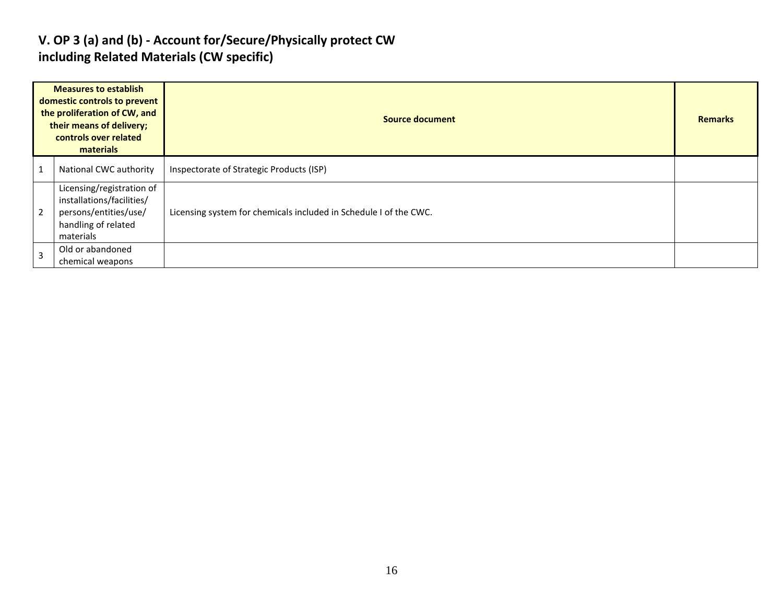#### **V. OP 3 (a) and (b) - Account for/Secure/Physically protect CW including Related Materials (CW specific)**

| <b>Measures to establish</b><br>domestic controls to prevent<br>the proliferation of CW, and<br>their means of delivery;<br>controls over related<br>materials |                                                                                                                     | <b>Source document</b>                                            | <b>Remarks</b> |
|----------------------------------------------------------------------------------------------------------------------------------------------------------------|---------------------------------------------------------------------------------------------------------------------|-------------------------------------------------------------------|----------------|
|                                                                                                                                                                | National CWC authority                                                                                              | Inspectorate of Strategic Products (ISP)                          |                |
| $\overline{2}$                                                                                                                                                 | Licensing/registration of<br>installations/facilities/<br>persons/entities/use/<br>handling of related<br>materials | Licensing system for chemicals included in Schedule I of the CWC. |                |
| $\overline{3}$                                                                                                                                                 | Old or abandoned<br>chemical weapons                                                                                |                                                                   |                |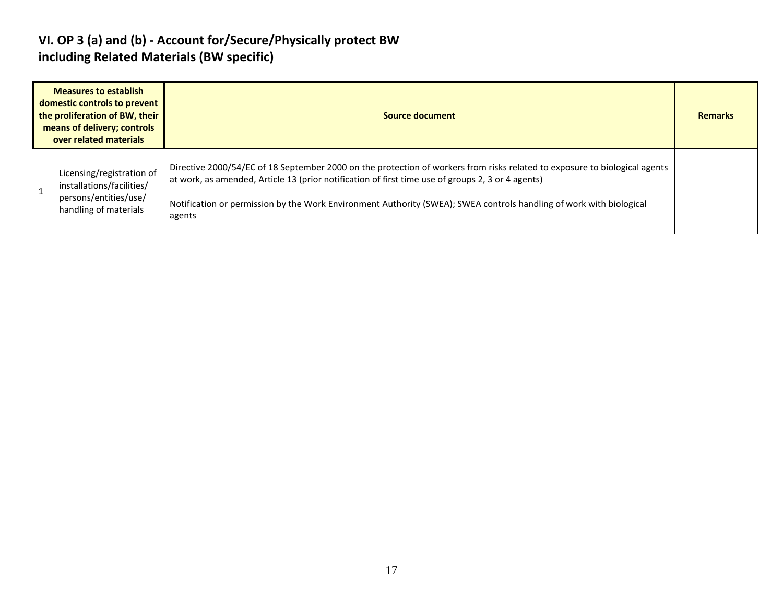#### **VI. OP 3 (a) and (b) - Account for/Secure/Physically protect BW including Related Materials (BW specific)**

| <b>Measures to establish</b><br>domestic controls to prevent<br>the proliferation of BW, their<br>means of delivery; controls<br>over related materials | Source document                                                                                                                                                                                                                                                                                                                                                  |  |  |  |  |  |
|---------------------------------------------------------------------------------------------------------------------------------------------------------|------------------------------------------------------------------------------------------------------------------------------------------------------------------------------------------------------------------------------------------------------------------------------------------------------------------------------------------------------------------|--|--|--|--|--|
| Licensing/registration of<br>installations/facilities/<br>persons/entities/use/<br>handling of materials                                                | Directive 2000/54/EC of 18 September 2000 on the protection of workers from risks related to exposure to biological agents<br>at work, as amended, Article 13 (prior notification of first time use of groups 2, 3 or 4 agents)<br>Notification or permission by the Work Environment Authority (SWEA); SWEA controls handling of work with biological<br>agents |  |  |  |  |  |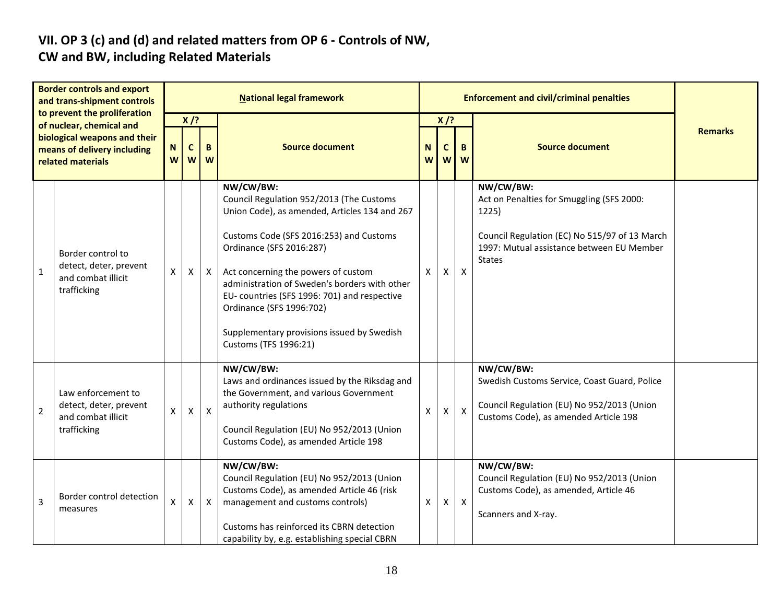# **VII. OP 3 (c) and (d) and related matters from OP 6 - Controls of NW,**

## **CW and BW, including Related Materials**

| <b>Border controls and export</b><br>and trans-shipment controls                                                                             |                                                                                   | <b>National legal framework</b>                                          |                |                            |                                                                                                                                                                                                                                                                                                                                                                                                                          |        |                        | <b>Enforcement and civil/criminal penalties</b> |                                                                                                                                                                                |  |
|----------------------------------------------------------------------------------------------------------------------------------------------|-----------------------------------------------------------------------------------|--------------------------------------------------------------------------|----------------|----------------------------|--------------------------------------------------------------------------------------------------------------------------------------------------------------------------------------------------------------------------------------------------------------------------------------------------------------------------------------------------------------------------------------------------------------------------|--------|------------------------|-------------------------------------------------|--------------------------------------------------------------------------------------------------------------------------------------------------------------------------------|--|
| to prevent the proliferation<br>of nuclear, chemical and<br>biological weapons and their<br>means of delivery including<br>related materials |                                                                                   | $X$ /?<br><b>Source document</b><br>$\mathbf c$<br>N<br>B<br>W<br>W<br>W |                | $X$ /?<br>N<br>C<br>W<br>W |                                                                                                                                                                                                                                                                                                                                                                                                                          | B<br>W | <b>Source document</b> | <b>Remarks</b>                                  |                                                                                                                                                                                |  |
| $\mathbf{1}$                                                                                                                                 | Border control to<br>detect, deter, prevent<br>and combat illicit<br>trafficking  | X                                                                        | X              | X                          | NW/CW/BW:<br>Council Regulation 952/2013 (The Customs<br>Union Code), as amended, Articles 134 and 267<br>Customs Code (SFS 2016:253) and Customs<br>Ordinance (SFS 2016:287)<br>Act concerning the powers of custom<br>administration of Sweden's borders with other<br>EU- countries (SFS 1996: 701) and respective<br>Ordinance (SFS 1996:702)<br>Supplementary provisions issued by Swedish<br>Customs (TFS 1996:21) | x      | X                      | $\mathsf{X}$                                    | NW/CW/BW:<br>Act on Penalties for Smuggling (SFS 2000:<br>1225)<br>Council Regulation (EC) No 515/97 of 13 March<br>1997: Mutual assistance between EU Member<br><b>States</b> |  |
| $\overline{2}$                                                                                                                               | Law enforcement to<br>detect, deter, prevent<br>and combat illicit<br>trafficking | X                                                                        | $\pmb{\times}$ | $\boldsymbol{\mathsf{X}}$  | NW/CW/BW:<br>Laws and ordinances issued by the Riksdag and<br>the Government, and various Government<br>authority regulations<br>Council Regulation (EU) No 952/2013 (Union<br>Customs Code), as amended Article 198                                                                                                                                                                                                     | Χ      | X                      | $\mathsf{X}$                                    | NW/CW/BW:<br>Swedish Customs Service, Coast Guard, Police<br>Council Regulation (EU) No 952/2013 (Union<br>Customs Code), as amended Article 198                               |  |
| 3                                                                                                                                            | Border control detection<br>measures                                              | X                                                                        | $\mathsf{X}$   | $\boldsymbol{\mathsf{X}}$  | NW/CW/BW:<br>Council Regulation (EU) No 952/2013 (Union<br>Customs Code), as amended Article 46 (risk<br>management and customs controls)<br>Customs has reinforced its CBRN detection<br>capability by, e.g. establishing special CBRN                                                                                                                                                                                  | Χ      | $\mathsf{X}$           | $\mathsf{X}$                                    | NW/CW/BW:<br>Council Regulation (EU) No 952/2013 (Union<br>Customs Code), as amended, Article 46<br>Scanners and X-ray.                                                        |  |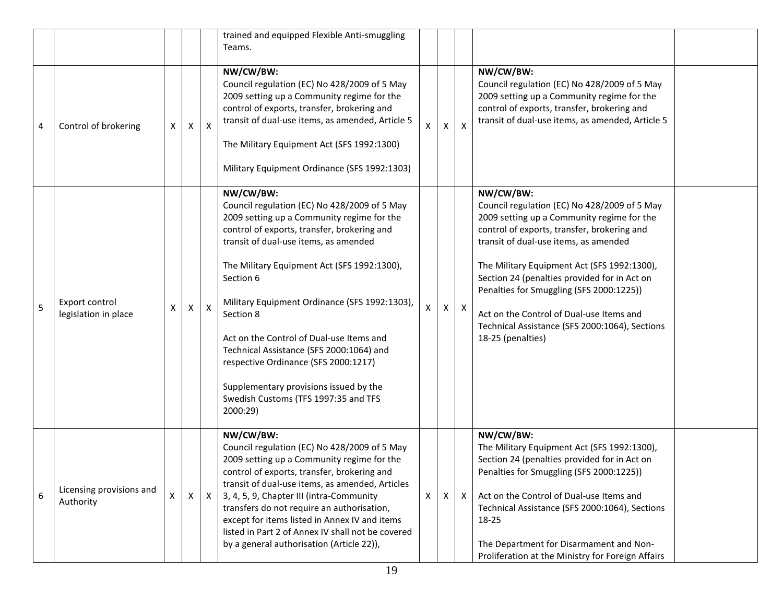|   |                                        |   |              |              | trained and equipped Flexible Anti-smuggling<br>Teams.                                                                                                                                                                                                                                                                                                                                                                                                                                                                                                  |   |              |                           |                                                                                                                                                                                                                                                                                                                                                                                                                                                               |  |
|---|----------------------------------------|---|--------------|--------------|---------------------------------------------------------------------------------------------------------------------------------------------------------------------------------------------------------------------------------------------------------------------------------------------------------------------------------------------------------------------------------------------------------------------------------------------------------------------------------------------------------------------------------------------------------|---|--------------|---------------------------|---------------------------------------------------------------------------------------------------------------------------------------------------------------------------------------------------------------------------------------------------------------------------------------------------------------------------------------------------------------------------------------------------------------------------------------------------------------|--|
| 4 | Control of brokering                   | X | $\mathsf{X}$ | $\mathsf{X}$ | NW/CW/BW:<br>Council regulation (EC) No 428/2009 of 5 May<br>2009 setting up a Community regime for the<br>control of exports, transfer, brokering and<br>transit of dual-use items, as amended, Article 5<br>The Military Equipment Act (SFS 1992:1300)<br>Military Equipment Ordinance (SFS 1992:1303)                                                                                                                                                                                                                                                | X | X            | $\boldsymbol{\mathsf{x}}$ | NW/CW/BW:<br>Council regulation (EC) No 428/2009 of 5 May<br>2009 setting up a Community regime for the<br>control of exports, transfer, brokering and<br>transit of dual-use items, as amended, Article 5                                                                                                                                                                                                                                                    |  |
| 5 | Export control<br>legislation in place | X | X            | $\mathsf{X}$ | NW/CW/BW:<br>Council regulation (EC) No 428/2009 of 5 May<br>2009 setting up a Community regime for the<br>control of exports, transfer, brokering and<br>transit of dual-use items, as amended<br>The Military Equipment Act (SFS 1992:1300),<br>Section 6<br>Military Equipment Ordinance (SFS 1992:1303),<br>Section 8<br>Act on the Control of Dual-use Items and<br>Technical Assistance (SFS 2000:1064) and<br>respective Ordinance (SFS 2000:1217)<br>Supplementary provisions issued by the<br>Swedish Customs (TFS 1997:35 and TFS<br>2000:29) |   | $\mathsf{X}$ | $\boldsymbol{\mathsf{X}}$ | NW/CW/BW:<br>Council regulation (EC) No 428/2009 of 5 May<br>2009 setting up a Community regime for the<br>control of exports, transfer, brokering and<br>transit of dual-use items, as amended<br>The Military Equipment Act (SFS 1992:1300),<br>Section 24 (penalties provided for in Act on<br>Penalties for Smuggling (SFS 2000:1225))<br>Act on the Control of Dual-use Items and<br>Technical Assistance (SFS 2000:1064), Sections<br>18-25 (penalties) |  |
| 6 | Licensing provisions and<br>Authority  | X | $\mathsf{X}$ | $\mathsf{X}$ | NW/CW/BW:<br>Council regulation (EC) No 428/2009 of 5 May<br>2009 setting up a Community regime for the<br>control of exports, transfer, brokering and<br>transit of dual-use items, as amended, Articles<br>3, 4, 5, 9, Chapter III (intra-Community<br>transfers do not require an authorisation,<br>except for items listed in Annex IV and items<br>listed in Part 2 of Annex IV shall not be covered<br>by a general authorisation (Article 22)),                                                                                                  | X | X            | $\mathsf{X}$              | NW/CW/BW:<br>The Military Equipment Act (SFS 1992:1300),<br>Section 24 (penalties provided for in Act on<br>Penalties for Smuggling (SFS 2000:1225))<br>Act on the Control of Dual-use Items and<br>Technical Assistance (SFS 2000:1064), Sections<br>18-25<br>The Department for Disarmament and Non-<br>Proliferation at the Ministry for Foreign Affairs                                                                                                   |  |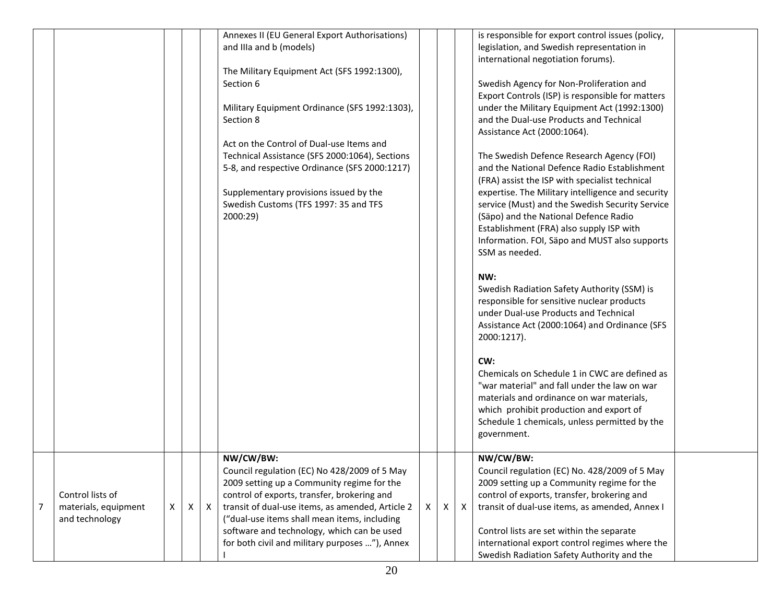|                |                      |   |   |              | Annexes II (EU General Export Authorisations)    |              |   |   | is responsible for export control issues (policy, |  |
|----------------|----------------------|---|---|--------------|--------------------------------------------------|--------------|---|---|---------------------------------------------------|--|
|                |                      |   |   |              | and IIIa and b (models)                          |              |   |   | legislation, and Swedish representation in        |  |
|                |                      |   |   |              |                                                  |              |   |   | international negotiation forums).                |  |
|                |                      |   |   |              | The Military Equipment Act (SFS 1992:1300),      |              |   |   |                                                   |  |
|                |                      |   |   |              | Section 6                                        |              |   |   | Swedish Agency for Non-Proliferation and          |  |
|                |                      |   |   |              |                                                  |              |   |   | Export Controls (ISP) is responsible for matters  |  |
|                |                      |   |   |              | Military Equipment Ordinance (SFS 1992:1303),    |              |   |   | under the Military Equipment Act (1992:1300)      |  |
|                |                      |   |   |              | Section 8                                        |              |   |   | and the Dual-use Products and Technical           |  |
|                |                      |   |   |              |                                                  |              |   |   | Assistance Act (2000:1064).                       |  |
|                |                      |   |   |              | Act on the Control of Dual-use Items and         |              |   |   |                                                   |  |
|                |                      |   |   |              | Technical Assistance (SFS 2000:1064), Sections   |              |   |   | The Swedish Defence Research Agency (FOI)         |  |
|                |                      |   |   |              | 5-8, and respective Ordinance (SFS 2000:1217)    |              |   |   | and the National Defence Radio Establishment      |  |
|                |                      |   |   |              |                                                  |              |   |   | (FRA) assist the ISP with specialist technical    |  |
|                |                      |   |   |              | Supplementary provisions issued by the           |              |   |   | expertise. The Military intelligence and security |  |
|                |                      |   |   |              | Swedish Customs (TFS 1997: 35 and TFS            |              |   |   | service (Must) and the Swedish Security Service   |  |
|                |                      |   |   |              | 2000:29)                                         |              |   |   | (Säpo) and the National Defence Radio             |  |
|                |                      |   |   |              |                                                  |              |   |   | Establishment (FRA) also supply ISP with          |  |
|                |                      |   |   |              |                                                  |              |   |   | Information. FOI, Säpo and MUST also supports     |  |
|                |                      |   |   |              |                                                  |              |   |   | SSM as needed.                                    |  |
|                |                      |   |   |              |                                                  |              |   |   |                                                   |  |
|                |                      |   |   |              |                                                  |              |   |   | NW:                                               |  |
|                |                      |   |   |              |                                                  |              |   |   | Swedish Radiation Safety Authority (SSM) is       |  |
|                |                      |   |   |              |                                                  |              |   |   | responsible for sensitive nuclear products        |  |
|                |                      |   |   |              |                                                  |              |   |   | under Dual-use Products and Technical             |  |
|                |                      |   |   |              |                                                  |              |   |   | Assistance Act (2000:1064) and Ordinance (SFS     |  |
|                |                      |   |   |              |                                                  |              |   |   | 2000:1217).                                       |  |
|                |                      |   |   |              |                                                  |              |   |   | CW:                                               |  |
|                |                      |   |   |              |                                                  |              |   |   | Chemicals on Schedule 1 in CWC are defined as     |  |
|                |                      |   |   |              |                                                  |              |   |   | "war material" and fall under the law on war      |  |
|                |                      |   |   |              |                                                  |              |   |   | materials and ordinance on war materials,         |  |
|                |                      |   |   |              |                                                  |              |   |   | which prohibit production and export of           |  |
|                |                      |   |   |              |                                                  |              |   |   | Schedule 1 chemicals, unless permitted by the     |  |
|                |                      |   |   |              |                                                  |              |   |   | government.                                       |  |
|                |                      |   |   |              |                                                  |              |   |   |                                                   |  |
|                |                      |   |   |              | NW/CW/BW:                                        |              |   |   | NW/CW/BW:                                         |  |
|                |                      |   |   |              | Council regulation (EC) No 428/2009 of 5 May     |              |   |   | Council regulation (EC) No. 428/2009 of 5 May     |  |
|                |                      |   |   |              | 2009 setting up a Community regime for the       |              |   |   | 2009 setting up a Community regime for the        |  |
|                | Control lists of     |   |   |              | control of exports, transfer, brokering and      |              |   |   | control of exports, transfer, brokering and       |  |
| $\overline{7}$ | materials, equipment | X | X | $\mathsf{X}$ | transit of dual-use items, as amended, Article 2 | $\mathsf{X}$ | Χ | Χ | transit of dual-use items, as amended, Annex I    |  |
|                | and technology       |   |   |              | ("dual-use items shall mean items, including     |              |   |   |                                                   |  |
|                |                      |   |   |              | software and technology, which can be used       |              |   |   | Control lists are set within the separate         |  |
|                |                      |   |   |              | for both civil and military purposes "), Annex   |              |   |   | international export control regimes where the    |  |
|                |                      |   |   |              |                                                  |              |   |   | Swedish Radiation Safety Authority and the        |  |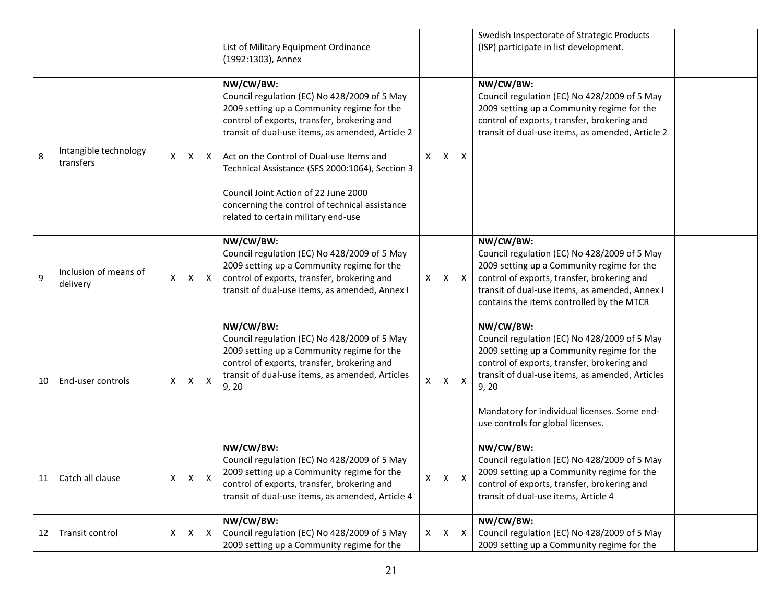|    |                                    |   |                           |                           | List of Military Equipment Ordinance<br>(1992:1303), Annex                                                                                                                                                                                                                                                                                                                                                                                 |          |   |                           | Swedish Inspectorate of Strategic Products<br>(ISP) participate in list development.                                                                                                                                                                                                                    |  |
|----|------------------------------------|---|---------------------------|---------------------------|--------------------------------------------------------------------------------------------------------------------------------------------------------------------------------------------------------------------------------------------------------------------------------------------------------------------------------------------------------------------------------------------------------------------------------------------|----------|---|---------------------------|---------------------------------------------------------------------------------------------------------------------------------------------------------------------------------------------------------------------------------------------------------------------------------------------------------|--|
| 8  | Intangible technology<br>transfers | X | $\boldsymbol{\mathsf{X}}$ | $\mathsf{X}$              | NW/CW/BW:<br>Council regulation (EC) No 428/2009 of 5 May<br>2009 setting up a Community regime for the<br>control of exports, transfer, brokering and<br>transit of dual-use items, as amended, Article 2<br>Act on the Control of Dual-use Items and<br>Technical Assistance (SFS 2000:1064), Section 3<br>Council Joint Action of 22 June 2000<br>concerning the control of technical assistance<br>related to certain military end-use | $\times$ | X | X                         | NW/CW/BW:<br>Council regulation (EC) No 428/2009 of 5 May<br>2009 setting up a Community regime for the<br>control of exports, transfer, brokering and<br>transit of dual-use items, as amended, Article 2                                                                                              |  |
| 9  | Inclusion of means of<br>delivery  | X | $\mathsf{X}$              | $\mathsf{X}$              | NW/CW/BW:<br>Council regulation (EC) No 428/2009 of 5 May<br>2009 setting up a Community regime for the<br>control of exports, transfer, brokering and<br>transit of dual-use items, as amended, Annex I                                                                                                                                                                                                                                   | X        | X | $\boldsymbol{\mathsf{X}}$ | NW/CW/BW:<br>Council regulation (EC) No 428/2009 of 5 May<br>2009 setting up a Community regime for the<br>control of exports, transfer, brokering and<br>transit of dual-use items, as amended, Annex I<br>contains the items controlled by the MTCR                                                   |  |
| 10 | End-user controls                  | X | Χ                         | Χ                         | NW/CW/BW:<br>Council regulation (EC) No 428/2009 of 5 May<br>2009 setting up a Community regime for the<br>control of exports, transfer, brokering and<br>transit of dual-use items, as amended, Articles<br>9, 20                                                                                                                                                                                                                         |          | X | $\boldsymbol{\mathsf{X}}$ | NW/CW/BW:<br>Council regulation (EC) No 428/2009 of 5 May<br>2009 setting up a Community regime for the<br>control of exports, transfer, brokering and<br>transit of dual-use items, as amended, Articles<br>9, 20<br>Mandatory for individual licenses. Some end-<br>use controls for global licenses. |  |
| 11 | Catch all clause                   | X | X                         | X                         | NW/CW/BW:<br>Council regulation (EC) No 428/2009 of 5 May<br>2009 setting up a Community regime for the<br>control of exports, transfer, brokering and<br>transit of dual-use items, as amended, Article 4                                                                                                                                                                                                                                 | Χ        | X | X                         | NW/CW/BW:<br>Council regulation (EC) No 428/2009 of 5 May<br>2009 setting up a Community regime for the<br>control of exports, transfer, brokering and<br>transit of dual-use items, Article 4                                                                                                          |  |
| 12 | Transit control                    | Χ | X                         | $\boldsymbol{\mathsf{X}}$ | NW/CW/BW:<br>Council regulation (EC) No 428/2009 of 5 May<br>2009 setting up a Community regime for the                                                                                                                                                                                                                                                                                                                                    | X        | X | X                         | NW/CW/BW:<br>Council regulation (EC) No 428/2009 of 5 May<br>2009 setting up a Community regime for the                                                                                                                                                                                                 |  |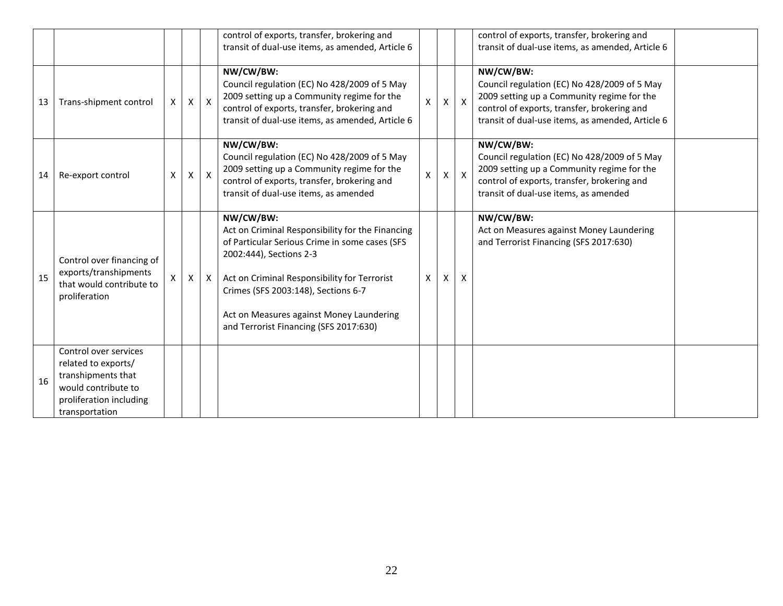|    |                                                                                                                                        |              |   |              | control of exports, transfer, brokering and<br>transit of dual-use items, as amended, Article 6                                                                                                                                                                                                                         |   |   |                           | control of exports, transfer, brokering and<br>transit of dual-use items, as amended, Article 6                                                                                                            |  |
|----|----------------------------------------------------------------------------------------------------------------------------------------|--------------|---|--------------|-------------------------------------------------------------------------------------------------------------------------------------------------------------------------------------------------------------------------------------------------------------------------------------------------------------------------|---|---|---------------------------|------------------------------------------------------------------------------------------------------------------------------------------------------------------------------------------------------------|--|
| 13 | Trans-shipment control                                                                                                                 | X            | X | $\mathsf{X}$ | NW/CW/BW:<br>Council regulation (EC) No 428/2009 of 5 May<br>2009 setting up a Community regime for the<br>control of exports, transfer, brokering and<br>transit of dual-use items, as amended, Article 6                                                                                                              | X | Χ | $\boldsymbol{\mathsf{X}}$ | NW/CW/BW:<br>Council regulation (EC) No 428/2009 of 5 May<br>2009 setting up a Community regime for the<br>control of exports, transfer, brokering and<br>transit of dual-use items, as amended, Article 6 |  |
| 14 | Re-export control                                                                                                                      | X            | X | $\mathsf{X}$ | NW/CW/BW:<br>Council regulation (EC) No 428/2009 of 5 May<br>2009 setting up a Community regime for the<br>control of exports, transfer, brokering and<br>transit of dual-use items, as amended                                                                                                                         | X | Χ | $\boldsymbol{\mathsf{X}}$ | NW/CW/BW:<br>Council regulation (EC) No 428/2009 of 5 May<br>2009 setting up a Community regime for the<br>control of exports, transfer, brokering and<br>transit of dual-use items, as amended            |  |
| 15 | Control over financing of<br>exports/transhipments<br>that would contribute to<br>proliferation                                        | $\mathsf{X}$ | X | X            | NW/CW/BW:<br>Act on Criminal Responsibility for the Financing<br>of Particular Serious Crime in some cases (SFS<br>2002:444), Sections 2-3<br>Act on Criminal Responsibility for Terrorist<br>Crimes (SFS 2003:148), Sections 6-7<br>Act on Measures against Money Laundering<br>and Terrorist Financing (SFS 2017:630) | X | X | X                         | NW/CW/BW:<br>Act on Measures against Money Laundering<br>and Terrorist Financing (SFS 2017:630)                                                                                                            |  |
| 16 | Control over services<br>related to exports/<br>transhipments that<br>would contribute to<br>proliferation including<br>transportation |              |   |              |                                                                                                                                                                                                                                                                                                                         |   |   |                           |                                                                                                                                                                                                            |  |